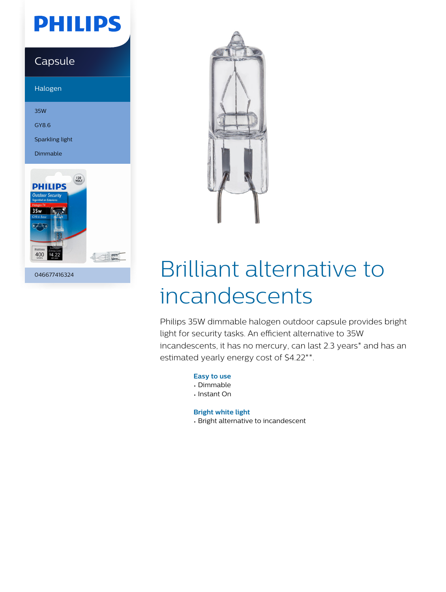## **PHILIPS**

### Capsule

Halogen

35W

GY8.6

Sparkling light

Dimmable



046677416324



# Brilliant alternative to incandescents

Philips 35W dimmable halogen outdoor capsule provides bright light for security tasks. An efficient alternative to 35W incandescents, it has no mercury, can last 2.3 years\* and has an estimated yearly energy cost of \$4.22\*\*.

**Easy to use**

- Dimmable
- Instant On

**Bright white light**

• Bright alternative to incandescent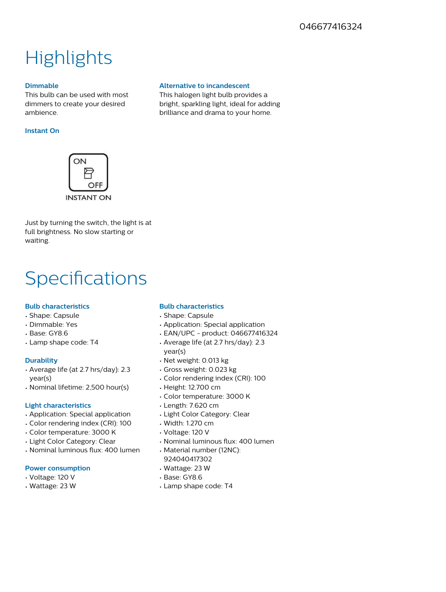### **Highlights**

#### **Dimmable**

This bulb can be used with most dimmers to create your desired ambience.

#### **Instant On**



Just by turning the switch, the light is at full brightness. No slow starting or waiting.

### **Specifications**

#### **Bulb characteristics**

- Shape: Capsule
- Dimmable: Yes
- Base: GY8.6
- Lamp shape code: T4

#### **Durability**

- Average life (at 2.7 hrs/day): 2.3 year(s)
- Nominal lifetime: 2,500 hour(s)

#### **Light characteristics**

- Application: Special application
- Color rendering index (CRI): 100
- Color temperature: 3000 K
- Light Color Category: Clear
- $\cdot$  Nominal luminous flux: 400 lumen

#### **Power consumption**

- Voltage: 120 V
- Wattage: 23 W

- **Bulb characteristics**
- Shape: Capsule
- Application: Special application
- EAN/UPC product: 046677416324
- Average life (at 2.7 hrs/day): 2.3 year(s)
- Net weight: 0.013 kg
- Gross weight: 0.023 kg
- Color rendering index (CRI): 100
- Height: 12.700 cm
- Color temperature: 3000 K
- Length: 7.620 cm
- Light Color Category: Clear
- Width: 1.270 cm
- Voltage: 120 V
- Nominal luminous flux: 400 lumen
- Material number (12NC): 924040417302
- Wattage: 23 W
- Base: GY8.6
- Lamp shape code: T4

#### **Alternative to incandescent**

This halogen light bulb provides a bright, sparkling light, ideal for adding brilliance and drama to your home.